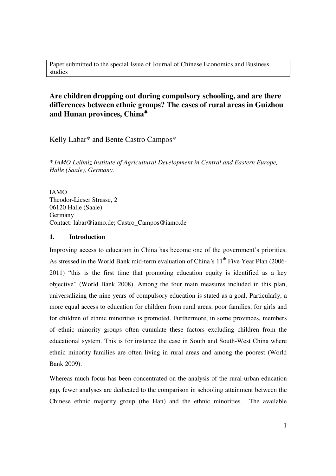Paper submitted to the special Issue of Journal of Chinese Economics and Business studies

# **Are children dropping out during compulsory schooling, and are there differences between ethnic groups? The cases of rural areas in Guizhou and Hunan provinces, China**♣

Kelly Labar\* and Bente Castro Campos\*

*\* IAMO Leibniz Institute of Agricultural Development in Central and Eastern Europe, Halle (Saale), Germany.* 

IAMO Theodor-Lieser Strasse, 2 06120 Halle (Saale) Germany Contact: labar@iamo.de; Castro\_Campos@iamo.de

#### **1. Introduction**

Improving access to education in China has become one of the government's priorities. As stressed in the World Bank mid-term evaluation of China´s  $11<sup>th</sup>$  Five Year Plan (2006-2011) "this is the first time that promoting education equity is identified as a key objective" (World Bank 2008). Among the four main measures included in this plan, universalizing the nine years of compulsory education is stated as a goal. Particularly, a more equal access to education for children from rural areas, poor families, for girls and for children of ethnic minorities is promoted. Furthermore, in some provinces, members of ethnic minority groups often cumulate these factors excluding children from the educational system. This is for instance the case in South and South-West China where ethnic minority families are often living in rural areas and among the poorest (World Bank 2009).

Whereas much focus has been concentrated on the analysis of the rural-urban education gap, fewer analyses are dedicated to the comparison in schooling attainment between the Chinese ethnic majority group (the Han) and the ethnic minorities. The available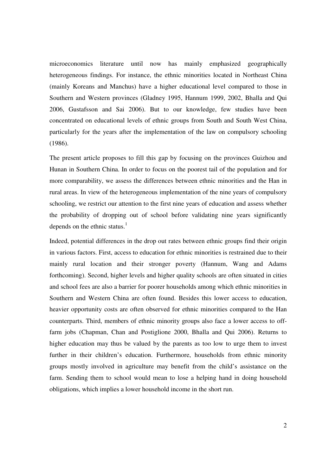microeconomics literature until now has mainly emphasized geographically heterogeneous findings. For instance, the ethnic minorities located in Northeast China (mainly Koreans and Manchus) have a higher educational level compared to those in Southern and Western provinces (Gladney 1995, Hannum 1999, 2002, Bhalla and Qui 2006, Gustafsson and Sai 2006). But to our knowledge, few studies have been concentrated on educational levels of ethnic groups from South and South West China, particularly for the years after the implementation of the law on compulsory schooling (1986).

The present article proposes to fill this gap by focusing on the provinces Guizhou and Hunan in Southern China. In order to focus on the poorest tail of the population and for more comparability, we assess the differences between ethnic minorities and the Han in rural areas. In view of the heterogeneous implementation of the nine years of compulsory schooling, we restrict our attention to the first nine years of education and assess whether the probability of dropping out of school before validating nine years significantly depends on the ethnic status. $<sup>1</sup>$ </sup>

Indeed, potential differences in the drop out rates between ethnic groups find their origin in various factors. First, access to education for ethnic minorities is restrained due to their mainly rural location and their stronger poverty (Hannum, Wang and Adams forthcoming). Second, higher levels and higher quality schools are often situated in cities and school fees are also a barrier for poorer households among which ethnic minorities in Southern and Western China are often found. Besides this lower access to education, heavier opportunity costs are often observed for ethnic minorities compared to the Han counterparts. Third, members of ethnic minority groups also face a lower access to offfarm jobs (Chapman, Chan and Postiglione 2000, Bhalla and Qui 2006). Returns to higher education may thus be valued by the parents as too low to urge them to invest further in their children's education. Furthermore, households from ethnic minority groups mostly involved in agriculture may benefit from the child's assistance on the farm. Sending them to school would mean to lose a helping hand in doing household obligations, which implies a lower household income in the short run.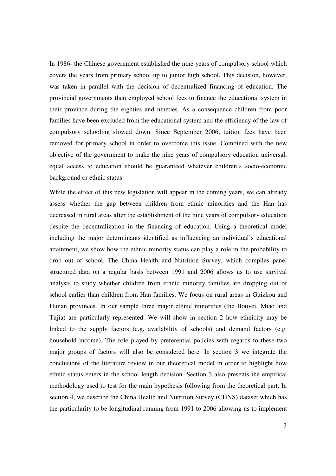In 1986- the Chinese government established the nine years of compulsory school which covers the years from primary school up to junior high school. This decision, however, was taken in parallel with the decision of decentralized financing of education. The provincial governments then employed school fees to finance the educational system in their province during the eighties and nineties. As a consequence children from poor families have been excluded from the educational system and the efficiency of the law of compulsory schooling slowed down. Since September 2006, tuition fees have been removed for primary school in order to overcome this issue. Combined with the new objective of the government to make the nine years of compulsory education universal, equal access to education should be guaranteed whatever children's socio-economic background or ethnic status.

While the effect of this new legislation will appear in the coming years, we can already assess whether the gap between children from ethnic minorities and the Han has decreased in rural areas after the establishment of the nine years of compulsory education despite the decentralization in the financing of education. Using a theoretical model including the major determinants identified as influencing an individual's educational attainment, we show how the ethnic minority status can play a role in the probability to drop out of school. The China Health and Nutrition Survey, which compiles panel structured data on a regular basis between 1991 and 2006 allows us to use survival analysis to study whether children from ethnic minority families are dropping out of school earlier than children from Han families. We focus on rural areas in Guizhou and Hunan provinces. In our sample three major ethnic minorities (the Bouyei, Miao and Tujia) are particularly represented. We will show in section 2 how ethnicity may be linked to the supply factors (e.g. availability of schools) and demand factors (e.g. household income). The role played by preferential policies with regards to these two major groups of factors will also be considered here. In section 3 we integrate the conclusions of the literature review in our theoretical model in order to highlight how ethnic status enters in the school length decision. Section 3 also presents the empirical methodology used to test for the main hypothesis following from the theoretical part. In section 4, we describe the China Health and Nutrition Survey (CHNS) dataset which has the particularity to be longitudinal running from 1991 to 2006 allowing us to implement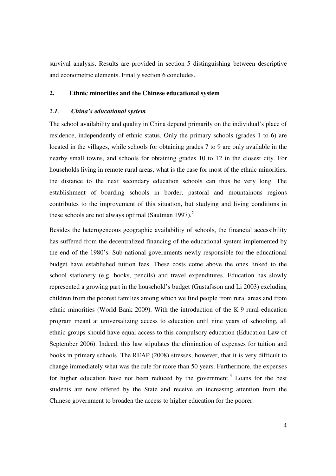survival analysis. Results are provided in section 5 distinguishing between descriptive and econometric elements. Finally section 6 concludes.

## **2. Ethnic minorities and the Chinese educational system**

#### *2.1. China's educational system*

The school availability and quality in China depend primarily on the individual's place of residence, independently of ethnic status. Only the primary schools (grades 1 to 6) are located in the villages, while schools for obtaining grades 7 to 9 are only available in the nearby small towns, and schools for obtaining grades 10 to 12 in the closest city. For households living in remote rural areas, what is the case for most of the ethnic minorities, the distance to the next secondary education schools can thus be very long. The establishment of boarding schools in border, pastoral and mountainous regions contributes to the improvement of this situation, but studying and living conditions in these schools are not always optimal (Sautman 1997). $^2$ 

Besides the heterogeneous geographic availability of schools, the financial accessibility has suffered from the decentralized financing of the educational system implemented by the end of the 1980's. Sub-national governments newly responsible for the educational budget have established tuition fees. These costs come above the ones linked to the school stationery (e.g. books, pencils) and travel expenditures. Education has slowly represented a growing part in the household's budget (Gustafsson and Li 2003) excluding children from the poorest families among which we find people from rural areas and from ethnic minorities (World Bank 2009). With the introduction of the K-9 rural education program meant at universalizing access to education until nine years of schooling, all ethnic groups should have equal access to this compulsory education (Education Law of September 2006). Indeed, this law stipulates the elimination of expenses for tuition and books in primary schools. The REAP (2008) stresses, however, that it is very difficult to change immediately what was the rule for more than 50 years. Furthermore, the expenses for higher education have not been reduced by the government.<sup>3</sup> Loans for the best students are now offered by the State and receive an increasing attention from the Chinese government to broaden the access to higher education for the poorer.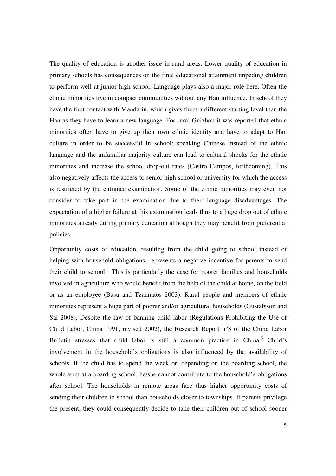The quality of education is another issue in rural areas. Lower quality of education in primary schools has consequences on the final educational attainment impeding children to perform well at junior high school. Language plays also a major role here. Often the ethnic minorities live in compact communities without any Han influence. In school they have the first contact with Mandarin, which gives them a different starting level than the Han as they have to learn a new language. For rural Guizhou it was reported that ethnic minorities often have to give up their own ethnic identity and have to adapt to Han culture in order to be successful in school; speaking Chinese instead of the ethnic language and the unfamiliar majority culture can lead to cultural shocks for the ethnic minorities and increase the school drop-out rates (Castro Campos, forthcoming). This also negatively affects the access to senior high school or university for which the access is restricted by the entrance examination. Some of the ethnic minorities may even not consider to take part in the examination due to their language disadvantages. The expectation of a higher failure at this examination leads thus to a huge drop out of ethnic minorities already during primary education although they may benefit from preferential policies.

Opportunity costs of education, resulting from the child going to school instead of helping with household obligations, represents a negative incentive for parents to send their child to school. $4$  This is particularly the case for poorer families and households involved in agriculture who would benefit from the help of the child at home, on the field or as an employee (Basu and Tzannatos 2003). Rural people and members of ethnic minorities represent a huge part of poorer and/or agricultural households (Gustafsson and Sai 2008). Despite the law of banning child labor (Regulations Prohibiting the Use of Child Labor, China 1991, revised 2002), the Research Report n°3 of the China Labor Bulletin stresses that child labor is still a common practice in China.<sup>5</sup> Child's involvement in the household's obligations is also influenced by the availability of schools. If the child has to spend the week or, depending on the boarding school, the whole term at a boarding school, he/she cannot contribute to the household's obligations after school. The households in remote areas face thus higher opportunity costs of sending their children to school than households closer to townships. If parents privilege the present, they could consequently decide to take their children out of school sooner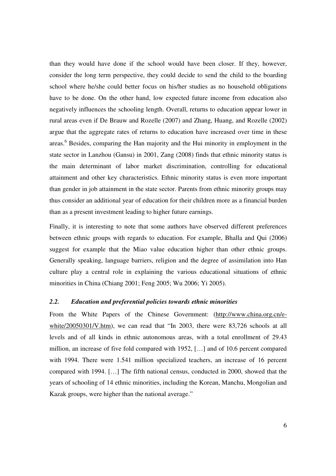than they would have done if the school would have been closer. If they, however, consider the long term perspective, they could decide to send the child to the boarding school where he/she could better focus on his/her studies as no household obligations have to be done. On the other hand, low expected future income from education also negatively influences the schooling length. Overall, returns to education appear lower in rural areas even if De Brauw and Rozelle (2007) and Zhang, Huang, and Rozelle (2002) argue that the aggregate rates of returns to education have increased over time in these areas.<sup>6</sup> Besides, comparing the Han majority and the Hui minority in employment in the state sector in Lanzhou (Gansu) in 2001, Zang (2008) finds that ethnic minority status is the main determinant of labor market discrimination, controlling for educational attainment and other key characteristics. Ethnic minority status is even more important than gender in job attainment in the state sector. Parents from ethnic minority groups may thus consider an additional year of education for their children more as a financial burden than as a present investment leading to higher future earnings.

Finally, it is interesting to note that some authors have observed different preferences between ethnic groups with regards to education. For example, Bhalla and Qui (2006) suggest for example that the Miao value education higher than other ethnic groups. Generally speaking, language barriers, religion and the degree of assimilation into Han culture play a central role in explaining the various educational situations of ethnic minorities in China (Chiang 2001; Feng 2005; Wu 2006; Yi 2005).

## *2.2. Education and preferential policies towards ethnic minorities*

From the White Papers of the Chinese Government: (http://www.china.org.cn/ewhite/20050301/V.htm), we can read that "In 2003, there were 83,726 schools at all levels and of all kinds in ethnic autonomous areas, with a total enrollment of 29.43 million, an increase of five fold compared with 1952, […] and of 10.6 percent compared with 1994. There were 1.541 million specialized teachers, an increase of 16 percent compared with 1994. […] The fifth national census, conducted in 2000, showed that the years of schooling of 14 ethnic minorities, including the Korean, Manchu, Mongolian and Kazak groups, were higher than the national average."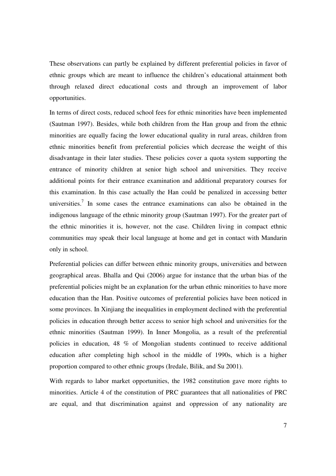These observations can partly be explained by different preferential policies in favor of ethnic groups which are meant to influence the children's educational attainment both through relaxed direct educational costs and through an improvement of labor opportunities.

In terms of direct costs, reduced school fees for ethnic minorities have been implemented (Sautman 1997). Besides, while both children from the Han group and from the ethnic minorities are equally facing the lower educational quality in rural areas, children from ethnic minorities benefit from preferential policies which decrease the weight of this disadvantage in their later studies. These policies cover a quota system supporting the entrance of minority children at senior high school and universities. They receive additional points for their entrance examination and additional preparatory courses for this examination. In this case actually the Han could be penalized in accessing better universities.<sup>7</sup> In some cases the entrance examinations can also be obtained in the indigenous language of the ethnic minority group (Sautman 1997). For the greater part of the ethnic minorities it is, however, not the case. Children living in compact ethnic communities may speak their local language at home and get in contact with Mandarin only in school.

Preferential policies can differ between ethnic minority groups, universities and between geographical areas. Bhalla and Qui (2006) argue for instance that the urban bias of the preferential policies might be an explanation for the urban ethnic minorities to have more education than the Han. Positive outcomes of preferential policies have been noticed in some provinces. In Xinjiang the inequalities in employment declined with the preferential policies in education through better access to senior high school and universities for the ethnic minorities (Sautman 1999). In Inner Mongolia, as a result of the preferential policies in education, 48 % of Mongolian students continued to receive additional education after completing high school in the middle of 1990s, which is a higher proportion compared to other ethnic groups (Iredale, Bilik, and Su 2001).

With regards to labor market opportunities, the 1982 constitution gave more rights to minorities. Article 4 of the constitution of PRC guarantees that all nationalities of PRC are equal, and that discrimination against and oppression of any nationality are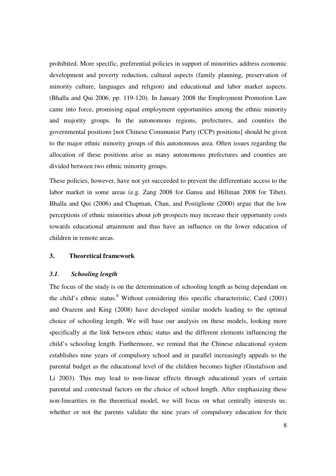prohibited. More specific, preferential policies in support of minorities address economic development and poverty reduction, cultural aspects (family planning, preservation of minority culture, languages and religion) and educational and labor market aspects. (Bhalla and Qui 2006, pp. 119-120). In January 2008 the Employment Promotion Law came into force, promising equal employment opportunities among the ethnic minority and majority groups. In the autonomous regions, prefectures, and counties the governmental positions [not Chinese Communist Party (CCP) positions] should be given to the major ethnic minority groups of this autonomous area. Often issues regarding the allocation of these positions arise as many autonomous prefectures and counties are divided between two ethnic minority groups.

These policies, however, have not yet succeeded to prevent the differentiate access to the labor market in some areas (e.g. Zang 2008 for Gansu and Hillman 2008 for Tibet). Bhalla and Qui (2006) and Chapman, Chan, and Postiglione (2000) argue that the low perceptions of ethnic minorities about job prospects may increase their opportunity costs towards educational attainment and thus have an influence on the lower education of children in remote areas.

#### **3. Theoretical framework**

#### *3.1. Schooling length*

The focus of the study is on the determination of schooling length as being dependant on the child's ethnic status.<sup>8</sup> Without considering this specific characteristic, Card  $(2001)$ and Orazem and King (2008) have developed similar models leading to the optimal choice of schooling length. We will base our analysis on these models, looking more specifically at the link between ethnic status and the different elements influencing the child's schooling length. Furthermore, we remind that the Chinese educational system establishes nine years of compulsory school and in parallel increasingly appeals to the parental budget as the educational level of the children becomes higher (Gustafsson and Li 2003). This may lead to non-linear effects through educational years of certain parental and contextual factors on the choice of school length. After emphasizing these non-linearities in the theoretical model, we will focus on what centrally interests us: whether or not the parents validate the nine years of compulsory education for their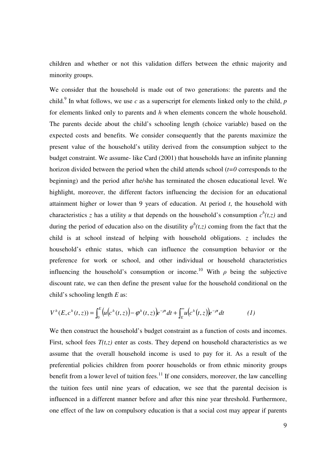children and whether or not this validation differs between the ethnic majority and minority groups.

We consider that the household is made out of two generations: the parents and the child.<sup>9</sup> In what follows, we use  $c$  as a superscript for elements linked only to the child,  $p$ for elements linked only to parents and *h* when elements concern the whole household. The parents decide about the child's schooling length (choice variable) based on the expected costs and benefits. We consider consequently that the parents maximize the present value of the household's utility derived from the consumption subject to the budget constraint. We assume- like Card (2001) that households have an infinite planning horizon divided between the period when the child attends school (*t=0* corresponds to the beginning) and the period after he/she has terminated the chosen educational level. We highlight, moreover, the different factors influencing the decision for an educational attainment higher or lower than 9 years of education. At period *t*, the household with characteristics *z* has a utility *u* that depends on the household's consumption  $c^h(t, z)$  and during the period of education also on the disutility  $\varphi^h(t,z)$  coming from the fact that the child is at school instead of helping with household obligations. *z* includes the household's ethnic status, which can influence the consumption behavior or the preference for work or school, and other individual or household characteristics influencing the household's consumption or income.<sup>10</sup> With  $\rho$  being the subjective discount rate, we can then define the present value for the household conditional on the child's schooling length *E* as:

$$
V^h(E, c^h(t, z)) = \int_0^E \left( u(c^h(t, z)) - \varphi^h(t, z) \right) e^{-\rho t} dt + \int_E^{\infty} u(c^h(t, z)) e^{-\rho t} dt \tag{1}
$$

We then construct the household's budget constraint as a function of costs and incomes. First, school fees  $T(t, z)$  enter as costs. They depend on household characteristics as we assume that the overall household income is used to pay for it. As a result of the preferential policies children from poorer households or from ethnic minority groups benefit from a lower level of tuition fees.<sup>11</sup> If one considers, moreover, the law cancelling the tuition fees until nine years of education, we see that the parental decision is influenced in a different manner before and after this nine year threshold. Furthermore, one effect of the law on compulsory education is that a social cost may appear if parents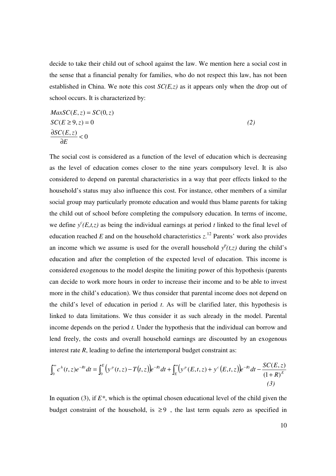decide to take their child out of school against the law. We mention here a social cost in the sense that a financial penalty for families, who do not respect this law, has not been established in China. We note this cost *SC(E,z)* as it appears only when the drop out of school occurs. It is characterized by:

$$
MaxSC(E, z) = SC(0, z)
$$
  
\n
$$
SC(E \ge 9, z) = 0
$$
  
\n
$$
\frac{\partial SC(E, z)}{\partial E} < 0
$$
\n(2)

The social cost is considered as a function of the level of education which is decreasing as the level of education comes closer to the nine years compulsory level. It is also considered to depend on parental characteristics in a way that peer effects linked to the household's status may also influence this cost. For instance, other members of a similar social group may particularly promote education and would thus blame parents for taking the child out of school before completing the compulsory education. In terms of income, we define  $y^c(E,t,z)$  as being the individual earnings at period *t* linked to the final level of education reached  $E$  and on the household characteristics  $z$ .<sup>12</sup> Parents' work also provides an income which we assume is used for the overall household  $y^p(t, z)$  during the child's education and after the completion of the expected level of education. This income is considered exogenous to the model despite the limiting power of this hypothesis (parents can decide to work more hours in order to increase their income and to be able to invest more in the child's education). We thus consider that parental income does not depend on the child's level of education in period *t*. As will be clarified later, this hypothesis is linked to data limitations. We thus consider it as such already in the model. Parental income depends on the period *t.* Under the hypothesis that the individual can borrow and lend freely, the costs and overall household earnings are discounted by an exogenous interest rate *R*, leading to define the intertemporal budget constraint as:

$$
\int_0^{\infty} c^h(t, z) e^{-Rt} dt = \int_0^E \left( y^p(t, z) - T(t, z) \right) e^{-Rt} dt + \int_E^{\infty} \left( y^p(E, t, z) + y^c(E, t, z) \right) e^{-Rt} dt - \frac{SC(E, z)}{(1 + R)^E}
$$
\n(3)

In equation (3), if *E\**, which is the optimal chosen educational level of the child given the budget constraint of the household, is  $\geq 9$ , the last term equals zero as specified in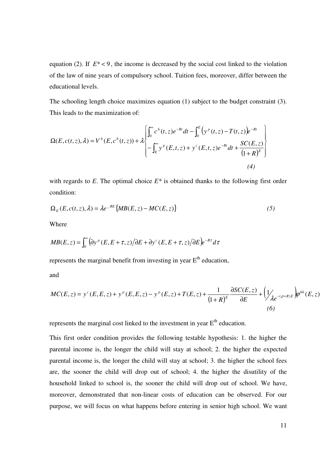equation (2). If  $E^* < 9$ , the income is decreased by the social cost linked to the violation of the law of nine years of compulsory school. Tuition fees, moreover, differ between the educational levels.

The schooling length choice maximizes equation (1) subject to the budget constraint (3). This leads to the maximization of:

$$
\Omega(E, c(t, z), \lambda) = V^{h}(E, c^{h}(t, z)) + \lambda \begin{bmatrix} \int_{0}^{\infty} c^{h}(t, z)e^{-Rt}dt - \int_{0}^{E} (y^{p}(t, z) - T(t, z))e^{-Rt} \\ - \int_{E}^{\infty} y^{p}(E, t, z) + y^{c}(E, t, z)e^{-Rt}dt + \frac{SC(E, z)}{(1 + R)^{E}} \end{bmatrix}
$$
\n(4)

with regards to  $E$ . The optimal choice  $E^*$  is obtained thanks to the following first order condition:

$$
\Omega_E(E, c(t, z), \lambda) = \lambda e^{-RE} \{ M B(E, z) - M C(E, z) \}
$$
\n<sup>(5)</sup>

Where

$$
MB(E, z) = \int_0^\infty (\partial y^p (E, E + \tau, z) / \partial E + \partial y^c (E, E + \tau, z) / \partial E) e^{-R\tau} d\tau
$$

represents the marginal benefit from investing in year  $E<sup>th</sup>$  education,

and

$$
MC(E, z) = y^{c}(E, E, z) + y^{p}(E, E, z) - y^{p}(E, z) + T(E, z) + \frac{1}{(1+R)^{E}} \frac{\partial SC(E, z)}{\partial E} + \left(\frac{1}{\lambda e^{-(\rho+R)E}} \right) \varphi^{hh}(E, z)
$$
\n(6)

represents the marginal cost linked to the investment in year  $E<sup>th</sup>$  education.

This first order condition provides the following testable hypothesis: 1. the higher the parental income is, the longer the child will stay at school; 2. the higher the expected parental income is, the longer the child will stay at school; 3. the higher the school fees are, the sooner the child will drop out of school; 4. the higher the disutility of the household linked to school is, the sooner the child will drop out of school. We have, moreover, demonstrated that non-linear costs of education can be observed. For our purpose, we will focus on what happens before entering in senior high school. We want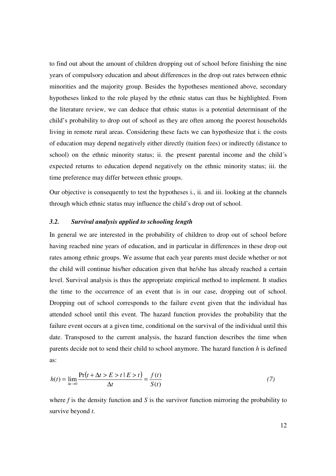to find out about the amount of children dropping out of school before finishing the nine years of compulsory education and about differences in the drop out rates between ethnic minorities and the majority group. Besides the hypotheses mentioned above, secondary hypotheses linked to the role played by the ethnic status can thus be highlighted. From the literature review, we can deduce that ethnic status is a potential determinant of the child's probability to drop out of school as they are often among the poorest households living in remote rural areas. Considering these facts we can hypothesize that i. the costs of education may depend negatively either directly (tuition fees) or indirectly (distance to school) on the ethnic minority status; ii. the present parental income and the child´s expected returns to education depend negatively on the ethnic minority status; iii. the time preference may differ between ethnic groups.

Our objective is consequently to test the hypotheses i., ii. and iii. looking at the channels through which ethnic status may influence the child's drop out of school.

## *3.2. Survival analysis applied to schooling length*

In general we are interested in the probability of children to drop out of school before having reached nine years of education, and in particular in differences in these drop out rates among ethnic groups. We assume that each year parents must decide whether or not the child will continue his/her education given that he/she has already reached a certain level. Survival analysis is thus the appropriate empirical method to implement. It studies the time to the occurrence of an event that is in our case, dropping out of school. Dropping out of school corresponds to the failure event given that the individual has attended school until this event. The hazard function provides the probability that the failure event occurs at a given time, conditional on the survival of the individual until this date. Transposed to the current analysis, the hazard function describes the time when parents decide not to send their child to school anymore. The hazard function *h* is defined as:

$$
h(t) = \lim_{\Delta t \to 0} \frac{\Pr(t + \Delta t > E > t \mid E > t)}{\Delta t} = \frac{f(t)}{S(t)}
$$
(7)

where *f* is the density function and *S* is the survivor function mirroring the probability to survive beyond *t*.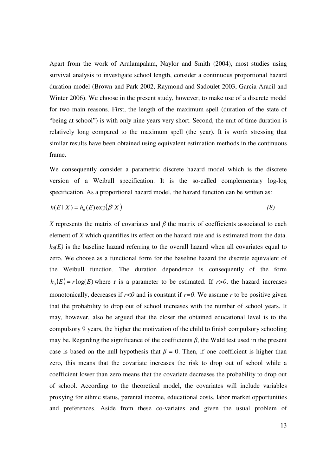Apart from the work of Arulampalam, Naylor and Smith (2004), most studies using survival analysis to investigate school length, consider a continuous proportional hazard duration model (Brown and Park 2002, Raymond and Sadoulet 2003, Garcia-Aracil and Winter 2006). We choose in the present study, however, to make use of a discrete model for two main reasons. First, the length of the maximum spell (duration of the state of "being at school") is with only nine years very short. Second, the unit of time duration is relatively long compared to the maximum spell (the year). It is worth stressing that similar results have been obtained using equivalent estimation methods in the continuous frame.

We consequently consider a parametric discrete hazard model which is the discrete version of a Weibull specification. It is the so-called complementary log-log specification. As a proportional hazard model, the hazard function can be written as:

$$
h(E \mid X) = h_0(E) \exp(\beta^* X)
$$
\n(8)

*X* represents the matrix of covariates and  $\beta$  the matrix of coefficients associated to each element of *X* which quantifies its effect on the hazard rate and is estimated from the data.  $h<sub>0</sub>(E)$  is the baseline hazard referring to the overall hazard when all covariates equal to zero. We choose as a functional form for the baseline hazard the discrete equivalent of the Weibull function. The duration dependence is consequently of the form  $h_0(E) = r \log(E)$  where r is a parameter to be estimated. If  $r > 0$ , the hazard increases monotonically, decreases if  $r < 0$  and is constant if  $r = 0$ . We assume r to be positive given that the probability to drop out of school increases with the number of school years. It may, however, also be argued that the closer the obtained educational level is to the compulsory 9 years, the higher the motivation of the child to finish compulsory schooling may be. Regarding the significance of the coefficients  $\beta$ , the Wald test used in the present case is based on the null hypothesis that  $\beta = 0$ . Then, if one coefficient is higher than zero, this means that the covariate increases the risk to drop out of school while a coefficient lower than zero means that the covariate decreases the probability to drop out of school. According to the theoretical model, the covariates will include variables proxying for ethnic status, parental income, educational costs, labor market opportunities and preferences. Aside from these co-variates and given the usual problem of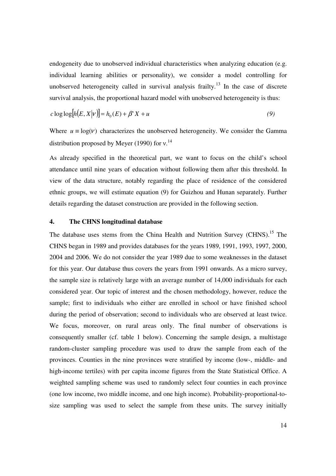endogeneity due to unobserved individual characteristics when analyzing education (e.g. individual learning abilities or personality), we consider a model controlling for unobserved heterogeneity called in survival analysis frailty.<sup>13</sup> In the case of discrete survival analysis, the proportional hazard model with unobserved heterogeneity is thus:

$$
c \log \log \left[ h(E, X | \nu) \right] = h_0(E) + \beta' X + u \tag{9}
$$

Where  $u \equiv \log(V)$  characterizes the unobserved heterogeneity. We consider the Gamma distribution proposed by Meyer (1990) for  $v^{14}$ 

As already specified in the theoretical part, we want to focus on the child's school attendance until nine years of education without following them after this threshold. In view of the data structure, notably regarding the place of residence of the considered ethnic groups, we will estimate equation (9) for Guizhou and Hunan separately. Further details regarding the dataset construction are provided in the following section.

## **4. The CHNS longitudinal database**

The database uses stems from the China Health and Nutrition Survey (CHNS).<sup>15</sup> The CHNS began in 1989 and provides databases for the years 1989, 1991, 1993, 1997, 2000, 2004 and 2006. We do not consider the year 1989 due to some weaknesses in the dataset for this year. Our database thus covers the years from 1991 onwards. As a micro survey, the sample size is relatively large with an average number of 14,000 individuals for each considered year. Our topic of interest and the chosen methodology, however, reduce the sample; first to individuals who either are enrolled in school or have finished school during the period of observation; second to individuals who are observed at least twice. We focus, moreover, on rural areas only. The final number of observations is consequently smaller (cf. table 1 below). Concerning the sample design, a multistage random-cluster sampling procedure was used to draw the sample from each of the provinces. Counties in the nine provinces were stratified by income (low-, middle- and high-income tertiles) with per capita income figures from the State Statistical Office. A weighted sampling scheme was used to randomly select four counties in each province (one low income, two middle income, and one high income). Probability-proportional-tosize sampling was used to select the sample from these units. The survey initially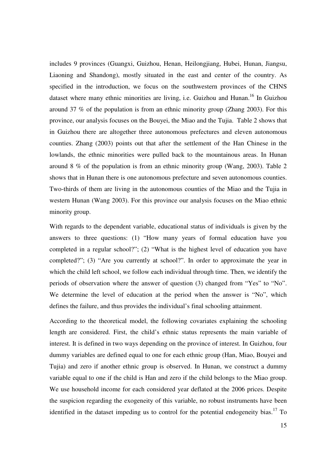includes 9 provinces (Guangxi, Guizhou, Henan, Heilongjiang, Hubei, Hunan, Jiangsu, Liaoning and Shandong), mostly situated in the east and center of the country. As specified in the introduction, we focus on the southwestern provinces of the CHNS dataset where many ethnic minorities are living, i.e. Guizhou and Hunan.<sup>16</sup> In Guizhou around 37 % of the population is from an ethnic minority group (Zhang 2003). For this province, our analysis focuses on the Bouyei, the Miao and the Tujia. Table 2 shows that in Guizhou there are altogether three autonomous prefectures and eleven autonomous counties. Zhang (2003) points out that after the settlement of the Han Chinese in the lowlands, the ethnic minorities were pulled back to the mountainous areas. In Hunan around 8 % of the population is from an ethnic minority group (Wang, 2003). Table 2 shows that in Hunan there is one autonomous prefecture and seven autonomous counties. Two-thirds of them are living in the autonomous counties of the Miao and the Tujia in western Hunan (Wang 2003). For this province our analysis focuses on the Miao ethnic minority group.

With regards to the dependent variable, educational status of individuals is given by the answers to three questions: (1) "How many years of formal education have you completed in a regular school?"; (2) "What is the highest level of education you have completed?"; (3) "Are you currently at school?". In order to approximate the year in which the child left school, we follow each individual through time. Then, we identify the periods of observation where the answer of question (3) changed from "Yes" to "No". We determine the level of education at the period when the answer is "No", which defines the failure, and thus provides the individual's final schooling attainment.

According to the theoretical model, the following covariates explaining the schooling length are considered. First, the child's ethnic status represents the main variable of interest. It is defined in two ways depending on the province of interest. In Guizhou, four dummy variables are defined equal to one for each ethnic group (Han, Miao, Bouyei and Tujia) and zero if another ethnic group is observed. In Hunan, we construct a dummy variable equal to one if the child is Han and zero if the child belongs to the Miao group. We use household income for each considered year deflated at the 2006 prices. Despite the suspicion regarding the exogeneity of this variable, no robust instruments have been identified in the dataset impeding us to control for the potential endogeneity bias.<sup>17</sup> To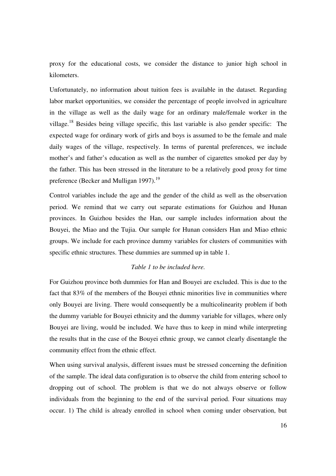proxy for the educational costs, we consider the distance to junior high school in kilometers.

Unfortunately, no information about tuition fees is available in the dataset. Regarding labor market opportunities, we consider the percentage of people involved in agriculture in the village as well as the daily wage for an ordinary male/female worker in the village.<sup>18</sup> Besides being village specific, this last variable is also gender specific: The expected wage for ordinary work of girls and boys is assumed to be the female and male daily wages of the village, respectively. In terms of parental preferences, we include mother's and father's education as well as the number of cigarettes smoked per day by the father. This has been stressed in the literature to be a relatively good proxy for time preference (Becker and Mulligan 1997).<sup>19</sup>

Control variables include the age and the gender of the child as well as the observation period. We remind that we carry out separate estimations for Guizhou and Hunan provinces. In Guizhou besides the Han, our sample includes information about the Bouyei, the Miao and the Tujia. Our sample for Hunan considers Han and Miao ethnic groups. We include for each province dummy variables for clusters of communities with specific ethnic structures. These dummies are summed up in table 1.

### *Table 1 to be included here.*

For Guizhou province both dummies for Han and Bouyei are excluded. This is due to the fact that 83% of the members of the Bouyei ethnic minorities live in communities where only Bouyei are living. There would consequently be a multicolinearity problem if both the dummy variable for Bouyei ethnicity and the dummy variable for villages, where only Bouyei are living, would be included. We have thus to keep in mind while interpreting the results that in the case of the Bouyei ethnic group, we cannot clearly disentangle the community effect from the ethnic effect.

When using survival analysis, different issues must be stressed concerning the definition of the sample. The ideal data configuration is to observe the child from entering school to dropping out of school. The problem is that we do not always observe or follow individuals from the beginning to the end of the survival period. Four situations may occur. 1) The child is already enrolled in school when coming under observation, but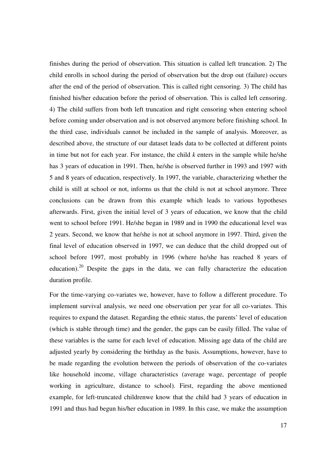finishes during the period of observation. This situation is called left truncation. 2) The child enrolls in school during the period of observation but the drop out (failure) occurs after the end of the period of observation. This is called right censoring. 3) The child has finished his/her education before the period of observation. This is called left censoring. 4) The child suffers from both left truncation and right censoring when entering school before coming under observation and is not observed anymore before finishing school. In the third case, individuals cannot be included in the sample of analysis. Moreover, as described above, the structure of our dataset leads data to be collected at different points in time but not for each year. For instance, the child *k* enters in the sample while he/she has 3 years of education in 1991. Then, he/she is observed further in 1993 and 1997 with 5 and 8 years of education, respectively. In 1997, the variable, characterizing whether the child is still at school or not, informs us that the child is not at school anymore. Three conclusions can be drawn from this example which leads to various hypotheses afterwards. First, given the initial level of 3 years of education, we know that the child went to school before 1991. He/she began in 1989 and in 1990 the educational level was 2 years. Second, we know that he/she is not at school anymore in 1997. Third, given the final level of education observed in 1997, we can deduce that the child dropped out of school before 1997, most probably in 1996 (where he/she has reached 8 years of education).<sup>20</sup> Despite the gaps in the data, we can fully characterize the education duration profile.

For the time-varying co-variates we, however, have to follow a different procedure. To implement survival analysis, we need one observation per year for all co-variates. This requires to expand the dataset. Regarding the ethnic status, the parents' level of education (which is stable through time) and the gender, the gaps can be easily filled. The value of these variables is the same for each level of education. Missing age data of the child are adjusted yearly by considering the birthday as the basis. Assumptions, however, have to be made regarding the evolution between the periods of observation of the co-variates like household income, village characteristics (average wage, percentage of people working in agriculture, distance to school). First, regarding the above mentioned example, for left-truncated childrenwe know that the child had 3 years of education in 1991 and thus had begun his/her education in 1989. In this case, we make the assumption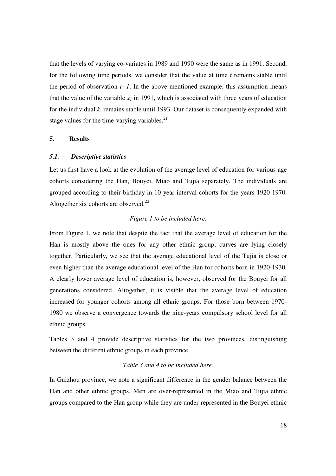that the levels of varying co-variates in 1989 and 1990 were the same as in 1991. Second, for the following time periods, we consider that the value at time *t* remains stable until the period of observation  $t+1$ . In the above mentioned example, this assumption means that the value of the variable  $x<sub>l</sub>$  in 1991, which is associated with three years of education for the individual *k*, remains stable until 1993. Our dataset is consequently expanded with stage values for the time-varying variables. $^{21}$ 

#### **5. Results**

#### *5.1. Descriptive statistics*

Let us first have a look at the evolution of the average level of education for various age cohorts considering the Han, Bouyei, Miao and Tujia separately. The individuals are grouped according to their birthday in 10 year interval cohorts for the years 1920-1970. Altogether six cohorts are observed. $^{22}$ 

## *Figure 1 to be included here.*

From Figure 1, we note that despite the fact that the average level of education for the Han is mostly above the ones for any other ethnic group; curves are lying closely together. Particularly, we see that the average educational level of the Tujia is close or even higher than the average educational level of the Han for cohorts born in 1920-1930. A clearly lower average level of education is, however, observed for the Bouyei for all generations considered. Altogether, it is visible that the average level of education increased for younger cohorts among all ethnic groups. For those born between 1970- 1980 we observe a convergence towards the nine-years compulsory school level for all ethnic groups.

Tables 3 and 4 provide descriptive statistics for the two provinces, distinguishing between the different ethnic groups in each province.

#### *Table 3 and 4 to be included here.*

In Guizhou province, we note a significant difference in the gender balance between the Han and other ethnic groups. Men are over-represented in the Miao and Tujia ethnic groups compared to the Han group while they are under-represented in the Bouyei ethnic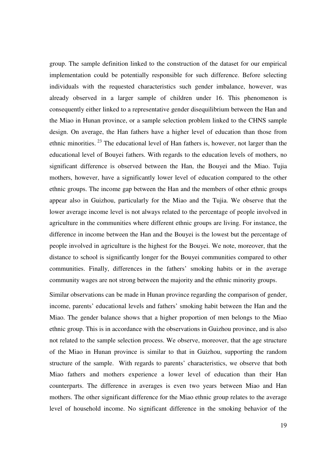group. The sample definition linked to the construction of the dataset for our empirical implementation could be potentially responsible for such difference. Before selecting individuals with the requested characteristics such gender imbalance, however, was already observed in a larger sample of children under 16. This phenomenon is consequently either linked to a representative gender disequilibrium between the Han and the Miao in Hunan province, or a sample selection problem linked to the CHNS sample design. On average, the Han fathers have a higher level of education than those from ethnic minorities.<sup>23</sup> The educational level of Han fathers is, however, not larger than the educational level of Bouyei fathers. With regards to the education levels of mothers, no significant difference is observed between the Han, the Bouyei and the Miao. Tujia mothers, however, have a significantly lower level of education compared to the other ethnic groups. The income gap between the Han and the members of other ethnic groups appear also in Guizhou, particularly for the Miao and the Tujia. We observe that the lower average income level is not always related to the percentage of people involved in agriculture in the communities where different ethnic groups are living. For instance, the difference in income between the Han and the Bouyei is the lowest but the percentage of people involved in agriculture is the highest for the Bouyei. We note, moreover, that the distance to school is significantly longer for the Bouyei communities compared to other communities. Finally, differences in the fathers' smoking habits or in the average community wages are not strong between the majority and the ethnic minority groups.

Similar observations can be made in Hunan province regarding the comparison of gender, income, parents' educational levels and fathers' smoking habit between the Han and the Miao. The gender balance shows that a higher proportion of men belongs to the Miao ethnic group. This is in accordance with the observations in Guizhou province, and is also not related to the sample selection process. We observe, moreover, that the age structure of the Miao in Hunan province is similar to that in Guizhou, supporting the random structure of the sample. With regards to parents' characteristics, we observe that both Miao fathers and mothers experience a lower level of education than their Han counterparts. The difference in averages is even two years between Miao and Han mothers. The other significant difference for the Miao ethnic group relates to the average level of household income. No significant difference in the smoking behavior of the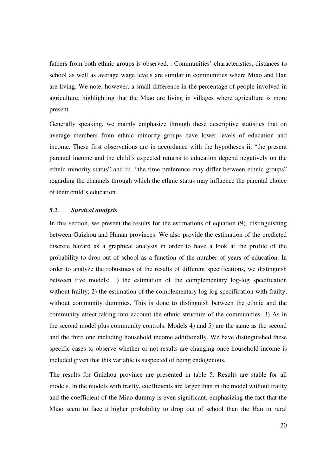fathers from both ethnic groups is observed. . Communities' characteristics, distances to school as well as average wage levels are similar in communities where Miao and Han are living. We note, however, a small difference in the percentage of people involved in agriculture, highlighting that the Miao are living in villages where agriculture is more present.

Generally speaking, we mainly emphasize through these descriptive statistics that on average members from ethnic minority groups have lower levels of education and income. These first observations are in accordance with the hypotheses ii. "the present parental income and the child´s expected returns to education depend negatively on the ethnic minority status" and iii. "the time preference may differ between ethnic groups" regarding the channels through which the ethnic status may influence the parental choice of their child's education.

## *5.2. Survival analysis*

In this section, we present the results for the estimations of equation (9), distinguishing between Guizhou and Hunan provinces. We also provide the estimation of the predicted discrete hazard as a graphical analysis in order to have a look at the profile of the probability to drop-out of school as a function of the number of years of education. In order to analyze the robustness of the results of different specifications, we distinguish between five models: 1) the estimation of the complementary log-log specification without frailty; 2) the estimation of the complementary log-log specification with frailty, without community dummies. This is done to distinguish between the ethnic and the community effect taking into account the ethnic structure of the communities. 3) As in the second model plus community controls. Models 4) and 5) are the same as the second and the third one including household income additionally. We have distinguished these specific cases to observe whether or not results are changing once household income is included given that this variable is suspected of being endogenous.

The results for Guizhou province are presented in table 5. Results are stable for all models. In the models with frailty, coefficients are larger than in the model without frailty and the coefficient of the Miao dummy is even significant, emphasizing the fact that the Miao seem to face a higher probability to drop out of school than the Han in rural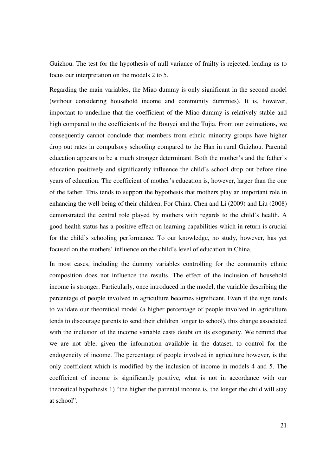Guizhou. The test for the hypothesis of null variance of frailty is rejected, leading us to focus our interpretation on the models 2 to 5.

Regarding the main variables, the Miao dummy is only significant in the second model (without considering household income and community dummies). It is, however, important to underline that the coefficient of the Miao dummy is relatively stable and high compared to the coefficients of the Bouyei and the Tujia. From our estimations, we consequently cannot conclude that members from ethnic minority groups have higher drop out rates in compulsory schooling compared to the Han in rural Guizhou. Parental education appears to be a much stronger determinant. Both the mother's and the father's education positively and significantly influence the child's school drop out before nine years of education. The coefficient of mother's education is, however, larger than the one of the father. This tends to support the hypothesis that mothers play an important role in enhancing the well-being of their children. For China, Chen and Li (2009) and Liu (2008) demonstrated the central role played by mothers with regards to the child's health. A good health status has a positive effect on learning capabilities which in return is crucial for the child's schooling performance. To our knowledge, no study, however, has yet focused on the mothers' influence on the child's level of education in China.

In most cases, including the dummy variables controlling for the community ethnic composition does not influence the results. The effect of the inclusion of household income is stronger. Particularly, once introduced in the model, the variable describing the percentage of people involved in agriculture becomes significant. Even if the sign tends to validate our theoretical model (a higher percentage of people involved in agriculture tends to discourage parents to send their children longer to school), this change associated with the inclusion of the income variable casts doubt on its exogeneity. We remind that we are not able, given the information available in the dataset, to control for the endogeneity of income. The percentage of people involved in agriculture however, is the only coefficient which is modified by the inclusion of income in models 4 and 5. The coefficient of income is significantly positive, what is not in accordance with our theoretical hypothesis 1) "the higher the parental income is, the longer the child will stay at school".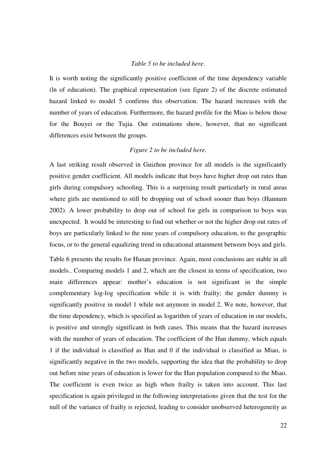#### *Table 5 to be included here.*

It is worth noting the significantly positive coefficient of the time dependency variable (ln of education). The graphical representation (see figure 2) of the discrete estimated hazard linked to model 5 confirms this observation. The hazard increases with the number of years of education. Furthermore, the hazard profile for the Miao is below those for the Bouyei or the Tujia. Our estimations show, however, that no significant differences exist between the groups.

#### *Figure 2 to be included here.*

A last striking result observed in Guizhou province for all models is the significantly positive gender coefficient. All models indicate that boys have higher drop out rates than girls during compulsory schooling. This is a surprising result particularly in rural areas where girls are mentioned to still be dropping out of school sooner than boys (Hannum 2002). A lower probability to drop out of school for girls in comparison to boys was unexpected. It would be interesting to find out whether or not the higher drop out rates of boys are particularly linked to the nine years of compulsory education, to the geographic focus, or to the general equalizing trend in educational attainment between boys and girls.

Table 6 presents the results for Hunan province. Again, most conclusions are stable in all models.. Comparing models 1 and 2, which are the closest in terms of specification, two main differences appear: mother's education is not significant in the simple complementary log-log specification while it is with frailty; the gender dummy is significantly positive in model 1 while not anymore in model 2. We note, however, that the time dependency, which is specified as logarithm of years of education in our models, is positive and strongly significant in both cases. This means that the hazard increases with the number of years of education. The coefficient of the Han dummy, which equals 1 if the individual is classified as Han and 0 if the individual is classified as Miao, is significantly negative in the two models, supporting the idea that the probability to drop out before nine years of education is lower for the Han population compared to the Miao. The coefficient is even twice as high when frailty is taken into account. This last specification is again privileged in the following interpretations given that the test for the null of the variance of frailty is rejected, leading to consider unobserved heterogeneity as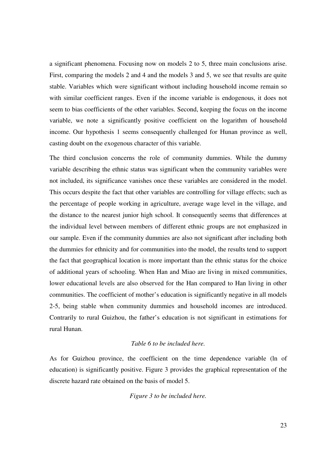a significant phenomena. Focusing now on models 2 to 5, three main conclusions arise. First, comparing the models 2 and 4 and the models 3 and 5, we see that results are quite stable. Variables which were significant without including household income remain so with similar coefficient ranges. Even if the income variable is endogenous, it does not seem to bias coefficients of the other variables. Second, keeping the focus on the income variable, we note a significantly positive coefficient on the logarithm of household income. Our hypothesis 1 seems consequently challenged for Hunan province as well, casting doubt on the exogenous character of this variable.

The third conclusion concerns the role of community dummies. While the dummy variable describing the ethnic status was significant when the community variables were not included, its significance vanishes once these variables are considered in the model. This occurs despite the fact that other variables are controlling for village effects; such as the percentage of people working in agriculture, average wage level in the village, and the distance to the nearest junior high school. It consequently seems that differences at the individual level between members of different ethnic groups are not emphasized in our sample. Even if the community dummies are also not significant after including both the dummies for ethnicity and for communities into the model, the results tend to support the fact that geographical location is more important than the ethnic status for the choice of additional years of schooling. When Han and Miao are living in mixed communities, lower educational levels are also observed for the Han compared to Han living in other communities. The coefficient of mother's education is significantly negative in all models 2-5, being stable when community dummies and household incomes are introduced. Contrarily to rural Guizhou, the father's education is not significant in estimations for rural Hunan.

## *Table 6 to be included here.*

As for Guizhou province, the coefficient on the time dependence variable (ln of education) is significantly positive. Figure 3 provides the graphical representation of the discrete hazard rate obtained on the basis of model 5.

*Figure 3 to be included here.*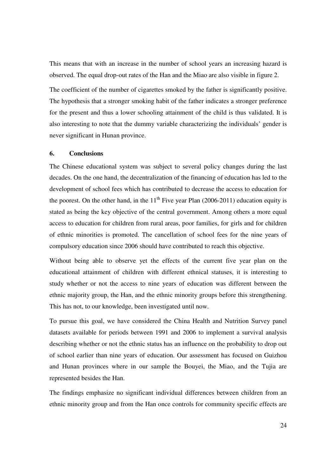This means that with an increase in the number of school years an increasing hazard is observed. The equal drop-out rates of the Han and the Miao are also visible in figure 2.

The coefficient of the number of cigarettes smoked by the father is significantly positive. The hypothesis that a stronger smoking habit of the father indicates a stronger preference for the present and thus a lower schooling attainment of the child is thus validated. It is also interesting to note that the dummy variable characterizing the individuals' gender is never significant in Hunan province.

## **6. Conclusions**

The Chinese educational system was subject to several policy changes during the last decades. On the one hand, the decentralization of the financing of education has led to the development of school fees which has contributed to decrease the access to education for the poorest. On the other hand, in the  $11<sup>th</sup>$  Five year Plan (2006-2011) education equity is stated as being the key objective of the central government. Among others a more equal access to education for children from rural areas, poor families, for girls and for children of ethnic minorities is promoted. The cancellation of school fees for the nine years of compulsory education since 2006 should have contributed to reach this objective.

Without being able to observe yet the effects of the current five year plan on the educational attainment of children with different ethnical statuses, it is interesting to study whether or not the access to nine years of education was different between the ethnic majority group, the Han, and the ethnic minority groups before this strengthening. This has not, to our knowledge, been investigated until now.

To pursue this goal, we have considered the China Health and Nutrition Survey panel datasets available for periods between 1991 and 2006 to implement a survival analysis describing whether or not the ethnic status has an influence on the probability to drop out of school earlier than nine years of education. Our assessment has focused on Guizhou and Hunan provinces where in our sample the Bouyei, the Miao, and the Tujia are represented besides the Han.

The findings emphasize no significant individual differences between children from an ethnic minority group and from the Han once controls for community specific effects are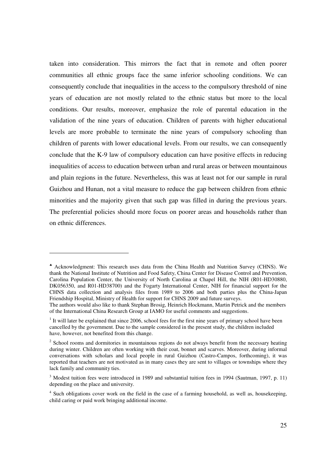taken into consideration. This mirrors the fact that in remote and often poorer communities all ethnic groups face the same inferior schooling conditions. We can consequently conclude that inequalities in the access to the compulsory threshold of nine years of education are not mostly related to the ethnic status but more to the local conditions. Our results, moreover, emphasize the role of parental education in the validation of the nine years of education. Children of parents with higher educational levels are more probable to terminate the nine years of compulsory schooling than children of parents with lower educational levels. From our results, we can consequently conclude that the K-9 law of compulsory education can have positive effects in reducing inequalities of access to education between urban and rural areas or between mountainous and plain regions in the future. Nevertheless, this was at least not for our sample in rural Guizhou and Hunan, not a vital measure to reduce the gap between children from ethnic minorities and the majority given that such gap was filled in during the previous years. The preferential policies should more focus on poorer areas and households rather than on ethnic differences.

<sup>♣</sup> Acknowledgment: This research uses data from the China Health and Nutrition Survey (CHNS). We thank the National Institute of Nutrition and Food Safety, China Center for Disease Control and Prevention, Carolina Population Center, the University of North Carolina at Chapel Hill, the NIH (R01-HD30880, DK056350, and R01-HD38700) and the Fogarty International Center, NIH for financial support for the CHNS data collection and analysis files from 1989 to 2006 and both parties plus the China-Japan Friendship Hospital, Ministry of Health for support for CHNS 2009 and future surveys.

The authors would also like to thank Stephan Brosig, Heinrich Hockmann, Martin Petrick and the members of the International China Research Group at IAMO for useful comments and suggestions.

<sup>&</sup>lt;sup>1</sup> It will later be explained that since 2006, school fees for the first nine years of primary school have been cancelled by the government. Due to the sample considered in the present study, the children included have, however, not benefited from this change.

<sup>&</sup>lt;sup>2</sup> School rooms and dormitories in mountainous regions do not always benefit from the necessary heating during winter. Children are often working with their coat, bonnet and scarves. Moreover, during informal conversations with scholars and local people in rural Guizhou (Castro-Campos, forthcoming), it was reported that teachers are not motivated as in many cases they are sent to villages or townships where they lack family and community ties.

<sup>&</sup>lt;sup>3</sup> Modest tuition fees were introduced in 1989 and substantial tuition fees in 1994 (Sautman, 1997, p. 11) depending on the place and university.

<sup>&</sup>lt;sup>4</sup> Such obligations cover work on the field in the case of a farming household, as well as, housekeeping, child caring or paid work bringing additional income.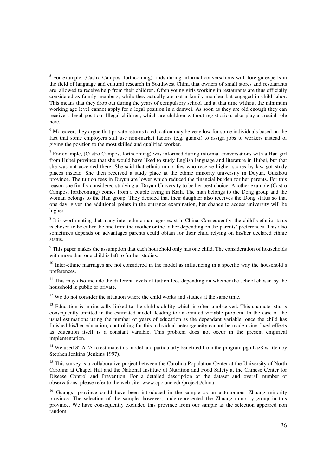<sup>5</sup> For example, (Castro Campos, forthcoming) finds during informal conversations with foreign experts in the field of language and cultural research in Southwest China that owners of small stores and restaurants are allowed to receive help from their children. Often young girls working in restaurants are thus officially considered as family members, while they actually are not a family member but engaged in child labor. This means that they drop out during the years of compulsory school and at that time without the minimum working age level cannot apply for a legal position in a danwei. As soon as they are old enough they can receive a legal position. Illegal children, which are children without registration, also play a crucial role here.

-

<sup>6</sup> Moreover, they argue that private returns to education may be very low for some individuals based on the fact that some employers still use non-market factors (e.g. guanxi) to assign jobs to workers instead of giving the position to the most skilled and qualified worker.

 $<sup>7</sup>$  For example, (Castro Campos, forthcoming) was informed during informal conversations with a Han girl</sup> from Hubei province that she would have liked to study English language and literature in Hubei, but that she was not accepted there. She said that ethnic minorities who receive higher scores by law got study places instead. She then received a study place at the ethnic minority university in Duyun, Guizhou province. The tuition fees in Duyun are lower which reduced the financial burden for her parents. For this reason she finally considered studying at Duyun University to be her best choice. Another example (Castro Campos, forthcoming) comes from a couple living in Kaili. The man belongs to the Dong group and the woman belongs to the Han group. They decided that their daughter also receives the Dong status so that one day, given the additional points in the entrance examination, her chance to access university will be higher.

<sup>8</sup> It is worth noting that many inter-ethnic marriages exist in China. Consequently, the child's ethnic status is chosen to be either the one from the mother or the father depending on the parents' preferences. This also sometimes depends on advantages parents could obtain for their child relying on his/her declared ethnic status.

<sup>9</sup> This paper makes the assumption that each household only has one child. The consideration of households with more than one child is left to further studies.

<sup>10</sup> Inter-ethnic marriages are not considered in the model as influencing in a specific way the household's preferences.

 $11$  This may also include the different levels of tuition fees depending on whether the school chosen by the household is public or private.

<sup>12</sup> We do not consider the situation where the child works and studies at the same time.

<sup>13</sup> Education is intrinsically linked to the child's ability which is often unobserved. This characteristic is consequently omitted in the estimated model, leading to an omitted variable problem. In the case of the usual estimations using the number of years of education as the dependant variable, once the child has finished his/her education, controlling for this individual heterogeneity cannot be made using fixed effects as education itself is a constant variable. This problem does not occur in the present empirical implementation.

<sup>14</sup> We used STATA to estimate this model and particularly benefited from the program pgmhaz8 written by Stephen Jenkins (Jenkins 1997).

<sup>15</sup> This survev is a collaborative project between the Carolina Population Center at the University of North Carolina at Chapel Hill and the National Institute of Nutrition and Food Safety at the Chinese Center for Disease Control and Prevention. For a detailed description of the dataset and overall number of observations, please refer to the web-site: www.cpc.unc.edu/projects/china.

<sup>16</sup> Guangxi province could have been introduced in the sample as an autonomous Zhuang minority province. The selection of the sample, however, underrepresented the Zhuang minority group in this province. We have consequently excluded this province from our sample as the selection appeared non random.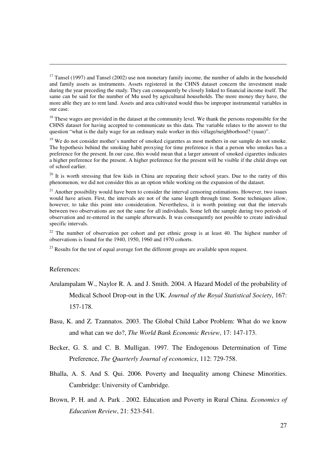<sup>18</sup> These wages are provided in the dataset at the community level. We thank the persons responsible for the CHNS dataset for having accepted to communicate us this data. The variable relates to the answer to the question "what is the daily wage for an ordinary male worker in this village/neighborhood? (yuan)".

<sup>19</sup> We do not consider mother's number of smoked cigarettes as most mothers in our sample do not smoke. The hypothesis behind the smoking habit proxying for time preference is that a person who smokes has a preference for the present. In our case, this would mean that a larger amount of smoked cigarettes indicates a higher preference for the present. A higher preference for the present will be visible if the child drops out of school earlier.

<sup>20</sup> It is worth stressing that few kids in China are repeating their school years. Due to the rarity of this phenomenon, we did not consider this as an option while working on the expansion of the dataset.

 $21$  Another possibility would have been to consider the interval censoring estimations. However, two issues would have arisen. First, the intervals are not of the same length through time. Some techniques allow, however, to take this point into consideration. Nevertheless, it is worth pointing out that the intervals between two observations are not the same for all individuals. Some left the sample during two periods of observation and re-entered in the sample afterwards. It was consequently not possible to create individual specific intervals.

<sup>22</sup> The number of observation per cohort and per ethnic group is at least 40. The highest number of observations is found for the 1940, 1950, 1960 and 1970 cohorts.

 $^{23}$  Results for the test of equal average fort the different groups are available upon request.

#### References:

- Arulampalam W., Naylor R. A. and J. Smith. 2004. A Hazard Model of the probability of Medical School Drop-out in the UK. *Journal of the Royal Statistical Society*, 167: 157-178.
- Basu, K. and Z. Tzannatos. 2003. The Global Child Labor Problem: What do we know and what can we do?, *The World Bank Economic Review*, 17: 147-173.
- Becker, G. S. and C. B. Mulligan. 1997. The Endogenous Determination of Time Preference, *The Quarterly Journal of economics*, 112: 729-758.
- Bhalla, A. S. And S. Qui. 2006. Poverty and Inequality among Chinese Minorities. Cambridge: University of Cambridge.
- Brown, P. H. and A. Park . 2002. Education and Poverty in Rural China. *Economics of Education Review*, 21: 523-541.

 $17$  Tansel (1997) and Tansel (2002) use non monetary family income, the number of adults in the household and family assets as instruments. Assets registered in the CHNS dataset concern the investment made during the year preceding the study. They can consequently be closely linked to financial income itself. The same can be said for the number of Mu used by agricultural households. The more money they have, the more able they are to rent land. Assets and area cultivated would thus be improper instrumental variables in our case.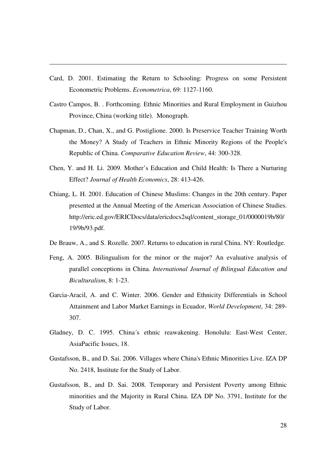Card, D. 2001. Estimating the Return to Schooling: Progress on some Persistent Econometric Problems. *Econometrica*, 69: 1127-1160.

- Castro Campos, B. . Forthcoming. Ethnic Minorities and Rural Employment in Guizhou Province, China (working title). Monograph.
- Chapman, D., Chan, X., and G. Postiglione. 2000. Is Preservice Teacher Training Worth the Money? A Study of Teachers in Ethnic Minority Regions of the People's Republic of China. *Comparative Education Review*, 44: 300-328.
- Chen, Y. and H. Li. 2009. Mother's Education and Child Health: Is There a Nurturing Effect? *Journal of Health Economics*, 28: 413-426.
- Chiang, L. H. 2001. Education of Chinese Muslims: Changes in the 20th century. Paper presented at the Annual Meeting of the American Association of Chinese Studies. http://eric.ed.gov/ERICDocs/data/ericdocs2sql/content\_storage\_01/0000019b/80/ 19/9b/93.pdf.
- De Brauw, A., and S. Rozelle. 2007. Returns to education in rural China. NY: Routledge.
- Feng, A. 2005. Bilingualism for the minor or the major? An evaluative analysis of parallel conceptions in China. *International Journal of Bilingual Education and Biculturalism*, 8: 1-23.
- Garcia-Aracil, A. and C. Winter. 2006. Gender and Ethnicity Differentials in School Attainment and Labor Market Earnings in Ecuador, *World Development*, 34: 289- 307.
- Gladney, D. C. 1995. China´s ethnic reawakening. Honolulu: East-West Center, AsiaPacific Issues, 18.
- Gustafsson, B., and D. Sai. 2006. Villages where China's Ethnic Minorities Live. IZA DP No. 2418, Institute for the Study of Labor.
- Gustafsson, B., and D. Sai. 2008. Temporary and Persistent Poverty among Ethnic minorities and the Majority in Rural China. IZA DP No. 3791, Institute for the Study of Labor.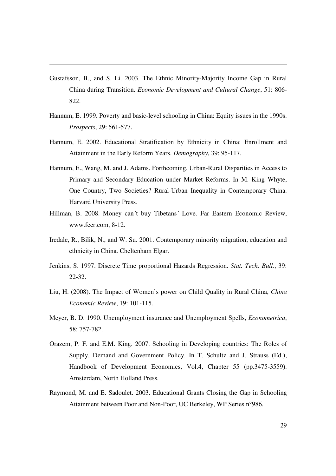Gustafsson, B., and S. Li. 2003. The Ethnic Minority-Majority Income Gap in Rural China during Transition. *Economic Development and Cultural Change*, 51: 806- 822.

- Hannum, E. 1999. Poverty and basic-level schooling in China: Equity issues in the 1990s. *Prospects*, 29: 561-577.
- Hannum, E. 2002. Educational Stratification by Ethnicity in China: Enrollment and Attainment in the Early Reform Years. *Demography*, 39: 95-117.
- Hannum, E., Wang, M. and J. Adams. Forthcoming. Urban-Rural Disparities in Access to Primary and Secondary Education under Market Reforms. In M. King Whyte, One Country, Two Societies? Rural-Urban Inequality in Contemporary China. Harvard University Press.
- Hillman, B. 2008. Money can´t buy Tibetans´ Love. Far Eastern Economic Review, www.feer.com, 8-12.
- Iredale, R., Bilik, N., and W. Su. 2001. Contemporary minority migration, education and ethnicity in China. Cheltenham Elgar.
- Jenkins, S. 1997. Discrete Time proportional Hazards Regression. *Stat. Tech. Bull.*, 39: 22-32.
- Liu, H. (2008). The Impact of Women's power on Child Quality in Rural China, *China Economic Review*, 19: 101-115.
- Meyer, B. D. 1990. Unemployment insurance and Unemployment Spells, *Econometrica*, 58: 757-782.
- Orazem, P. F. and E.M. King. 2007. Schooling in Developing countries: The Roles of Supply, Demand and Government Policy. In T. Schultz and J. Strauss (Ed.), Handbook of Development Economics, Vol.4, Chapter 55 (pp.3475-3559). Amsterdam, North Holland Press.
- Raymond, M. and E. Sadoulet. 2003. Educational Grants Closing the Gap in Schooling Attainment between Poor and Non-Poor, UC Berkeley, WP Series n°986.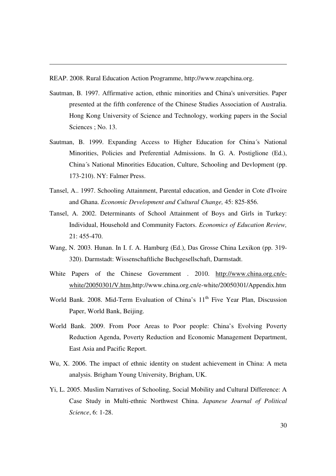REAP. 2008. Rural Education Action Programme, http://www.reapchina.org.

- Sautman, B. 1997. Affirmative action, ethnic minorities and China's universities. Paper presented at the fifth conference of the Chinese Studies Association of Australia. Hong Kong University of Science and Technology, working papers in the Social Sciences ; No. 13.
- Sautman, B. 1999. Expanding Access to Higher Education for China´s National Minorities, Policies and Preferential Admissions. In G. A. Postiglione (Ed.), China´s National Minorities Education, Culture, Schooling and Devlopment (pp. 173-210). NY: Falmer Press.
- Tansel, A.. 1997. Schooling Attainment, Parental education, and Gender in Cote d'Ivoire and Ghana. *Economic Development and Cultural Change,* 45: 825-856.
- Tansel, A. 2002. Determinants of School Attainment of Boys and Girls in Turkey: Individual, Household and Community Factors. *Economics of Education Review,*  21: 455-470.
- Wang, N. 2003. Hunan. In I. f. A. Hamburg (Ed.), Das Grosse China Lexikon (pp. 319- 320). Darmstadt: Wissenschaftliche Buchgesellschaft, Darmstadt.
- White Papers of the Chinese Government . 2010. http://www.china.org.cn/ewhite/20050301/V.htm,http://www.china.org.cn/e-white/20050301/Appendix.htm
- World Bank. 2008. Mid-Term Evaluation of China's 11<sup>th</sup> Five Year Plan, Discussion Paper, World Bank, Beijing.
- World Bank. 2009. From Poor Areas to Poor people: China's Evolving Poverty Reduction Agenda, Poverty Reduction and Economic Management Department, East Asia and Pacific Report.
- Wu, X. 2006. The impact of ethnic identity on student achievement in China: A meta analysis. Brigham Young University, Brigham, UK.
- Yi, L. 2005. Muslim Narratives of Schooling, Social Mobility and Cultural Difference: A Case Study in Multi-ethnic Northwest China. *Japanese Journal of Political Science*, 6: 1-28.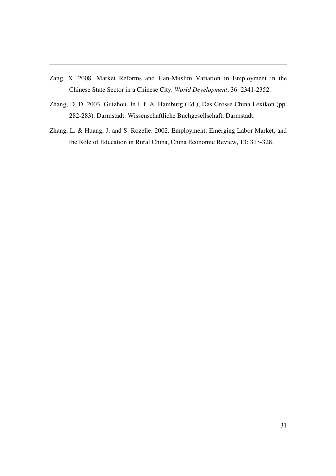Zang, X. 2008. Market Reforms and Han-Muslim Variation in Employment in the Chinese State Sector in a Chinese City. *World Development*, 36: 2341-2352.

- Zhang, D. D. 2003. Guizhou. In I. f. A. Hamburg (Ed.), Das Grosse China Lexikon (pp. 282-283). Darmstadt: Wissenschaftliche Buchgesellschaft, Darmstadt.
- Zhang, L. & Huang, J. and S. Rozelle. 2002. Employment, Emerging Labor Market, and the Role of Education in Rural China, China Economic Review, 13: 313-328.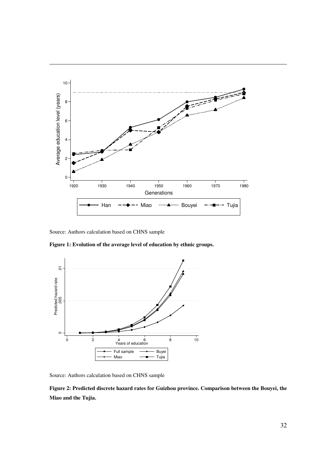

Source: Authors calculation based on CHNS sample

-

**Figure 1: Evolution of the average level of education by ethnic groups.** 



Source: Authors calculation based on CHNS sample

**Figure 2: Predicted discrete hazard rates for Guizhou province. Comparison between the Bouyei, the Miao and the Tujia.**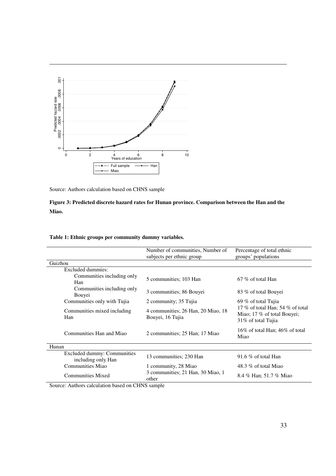

Source: Authors calculation based on CHNS sample

## **Figure 3: Predicted discrete hazard rates for Hunan province. Comparison between the Han and the Miao.**

|                                                                                                                   | Number of communities, Number of<br>subjects per ethnic group | Percentage of total ethnic<br>groups' populations                                     |  |
|-------------------------------------------------------------------------------------------------------------------|---------------------------------------------------------------|---------------------------------------------------------------------------------------|--|
| Guizhou                                                                                                           |                                                               |                                                                                       |  |
| Excluded dummies:                                                                                                 |                                                               |                                                                                       |  |
| Communities including only<br>Han                                                                                 | 5 communities; 103 Han                                        | $67\%$ of total Han                                                                   |  |
| Communities including only<br>Bouvei                                                                              | 3 communities; 86 Bouyei                                      | 83 % of total Bouyei                                                                  |  |
| Communities only with Tujia                                                                                       | 2 community; 35 Tujia                                         | 69 % of total Tujia                                                                   |  |
| Communities mixed including<br>Han                                                                                | 4 communities; 26 Han, 20 Miao, 18<br>Bouyei, 16 Tujia        | 17 % of total Han; 54 % of total<br>Miao; 17 % of total Bouyei;<br>31% of total Tujia |  |
| Communities Han and Miao                                                                                          | 2 communities; 25 Han; 17 Miao                                | 16% of total Han; $46\%$ of total<br>Miao                                             |  |
| Hunan                                                                                                             |                                                               |                                                                                       |  |
| Excluded dummy: Communities<br>including only Han                                                                 | 13 communities; 230 Han                                       | 91.6 $%$ of total Han                                                                 |  |
| Communities Miao                                                                                                  | 1 community, 28 Miao                                          | 48.3 % of total Miao                                                                  |  |
| <b>Communities Mixed</b><br>$\sim$<br>$-1$ $-1$ $+$ $   -$<br>$\mathbf{1}$<br>$\alpha$ $\alpha$<br>$\lambda = -1$ | 3 communities; 21 Han, 30 Miao, 1<br>other                    | 8.4 % Han; 51.7 % Miao                                                                |  |

#### **Table 1: Ethnic groups per community dummy variables.**

Source: Authors calculation based on CHNS sample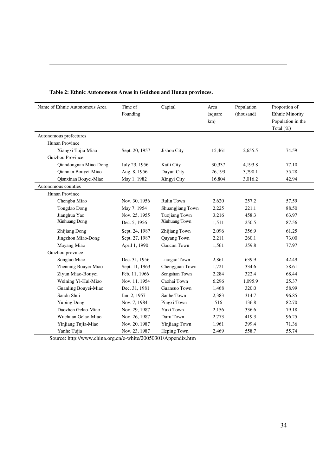| Name of Ethnic Autonomous Area | Time of<br>Founding | Capital              | Area<br>(square<br>km) | Population<br>(thousand) | Proportion of<br><b>Ethnic Minority</b><br>Population in the |
|--------------------------------|---------------------|----------------------|------------------------|--------------------------|--------------------------------------------------------------|
|                                |                     |                      |                        |                          | Total (%)                                                    |
| Autonomous prefectures         |                     |                      |                        |                          |                                                              |
| Hunan Province                 |                     |                      |                        |                          |                                                              |
| Xiangxi Tujia-Miao             | Sept. 20, 1957      | Jishou City          | 15,461                 | 2,655.5                  | 74.59                                                        |
| Guizhou Province               |                     |                      |                        |                          |                                                              |
| Qiandongnan Miao-Dong          | July 23, 1956       | Kaili City           | 30,337                 | 4,193.8                  | 77.10                                                        |
| Qiannan Bouyei-Miao            | Aug. 8, 1956        | Duyun City           | 26,193                 | 3,790.1                  | 55.28                                                        |
| Qianxinan Bouyei-Miao          | May 1, 1982         | Xingyi City          | 16,804                 | 3,016.2                  | 42.94                                                        |
| Autonomous counties            |                     |                      |                        |                          |                                                              |
| Hunan Province                 |                     |                      |                        |                          |                                                              |
| Chengbu Miao                   | Nov. 30, 1956       | <b>Rulin Town</b>    | 2,620                  | 257.2                    | 57.59                                                        |
| Tongdao Dong                   | May 7, 1954         | Shuangjiang Town     | 2,225                  | 221.1                    | 88.50                                                        |
| Jianghua Yao                   | Nov. 25, 1955       | <b>Tuojiang Town</b> | 3,216                  | 458.3                    | 63.97                                                        |
| <b>Xinhuang Dong</b>           | Dec. 5, 1956        | Xinhuang Town        | 1,511                  | 250.5                    | 87.56                                                        |
| Zhijiang Dong                  | Sept. 24, 1987      | Zhijiang Town        | 2,096                  | 356.9                    | 61.25                                                        |
| Jingzhou Miao-Dong             | Sept. 27, 1987      | Quyang Town          | 2,211                  | 260.1                    | 73.00                                                        |
| Mayang Miao                    | April 1, 1990       | Gaocun Town          | 1,561                  | 359.8                    | 77.97                                                        |
| Guizhou province               |                     |                      |                        |                          |                                                              |
| Songtao Miao                   | Dec. 31, 1956       | Liaogao Town         | 2,861                  | 639.9                    | 42.49                                                        |
| Zhenning Bouyei-Miao           | Sept. 11, 1963      | Chengguan Town       | 1,721                  | 334.6                    | 58.61                                                        |
| Ziyun Miao-Bouyei              | Feb. 11, 1966       | Songshan Town        | 2,284                  | 322.4                    | 68.44                                                        |
| Weining Yi-Hui-Miao            | Nov. 11, 1954       | Caohai Town          | 6,296                  | 1,095.9                  | 25.37                                                        |
| Guanling Bouyei-Miao           | Dec. 31, 1981       | Guansuo Town         | 1,468                  | 320.0                    | 58.99                                                        |
| Sandu Shui                     | Jan. 2, 1957        | Sanhe Town           | 2,383                  | 314.7                    | 96.85                                                        |
| <b>Yuping Dong</b>             | Nov. 7, 1984        | Pingxi Town          | 516                    | 136.8                    | 82.70                                                        |
| Daozhen Gelao-Miao             | Nov. 29, 1987       | Yuxi Town            | 2,156                  | 336.6                    | 79.18                                                        |
| Wuchuan Gelao-Miao             | Nov. 26, 1987       | Duru Town            | 2,773                  | 419.3                    | 96.25                                                        |
| Yinjiang Tujia-Miao            | Nov. 20, 1987       | Yinjiang Town        | 1,961                  | 399.4                    | 71.36                                                        |
| Yanhe Tujia                    | Nov. 23, 1987       | Heping Town          | 2,469                  | 558.7                    | 55.74                                                        |

## **Table 2: Ethnic Autonomous Areas in Guizhou and Hunan provinces.**

-

Source: http://www.china.org.cn/e-white/20050301/Appendix.htm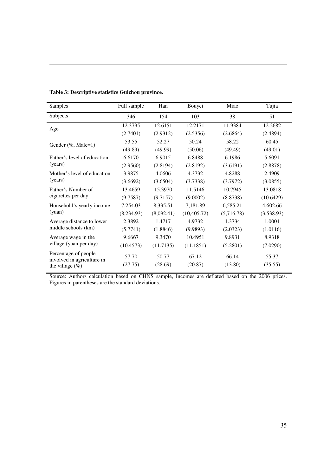| Table 3: Descriptive statistics Guizhou province. |
|---------------------------------------------------|
|---------------------------------------------------|

-

|     |                                                                                                                                                                                                                                |                                                                                                                                                                                     | Tujia            |
|-----|--------------------------------------------------------------------------------------------------------------------------------------------------------------------------------------------------------------------------------|-------------------------------------------------------------------------------------------------------------------------------------------------------------------------------------|------------------|
| 154 | 103                                                                                                                                                                                                                            | 38                                                                                                                                                                                  | 51               |
|     | 12.2171                                                                                                                                                                                                                        | 11.9384                                                                                                                                                                             | 12.2682          |
|     | (2.5356)                                                                                                                                                                                                                       | (2.6864)                                                                                                                                                                            | (2.4894)         |
|     | 50.24                                                                                                                                                                                                                          | 58.22                                                                                                                                                                               | 60.45            |
|     | (50.06)                                                                                                                                                                                                                        | (49.49)                                                                                                                                                                             | (49.01)          |
|     | 6.8488                                                                                                                                                                                                                         | 6.1986                                                                                                                                                                              | 5.6091           |
|     | (2.8192)                                                                                                                                                                                                                       | (3.6191)                                                                                                                                                                            | (2.8878)         |
|     | 4.3732                                                                                                                                                                                                                         | 4.8288                                                                                                                                                                              | 2.4909           |
|     | (3.7338)                                                                                                                                                                                                                       | (3.7972)                                                                                                                                                                            | (3.0855)         |
|     | 11.5146                                                                                                                                                                                                                        | 10.7945                                                                                                                                                                             | 13.0818          |
|     | (9.0002)                                                                                                                                                                                                                       | (8.8738)                                                                                                                                                                            | (10.6429)        |
|     | 7,181.89                                                                                                                                                                                                                       | 6,585.21                                                                                                                                                                            | 4,602.66         |
|     |                                                                                                                                                                                                                                | (5,716.78)                                                                                                                                                                          | (3,538.93)       |
|     | 4.9732                                                                                                                                                                                                                         | 1.3734                                                                                                                                                                              | 1.0004           |
|     | (9.9893)                                                                                                                                                                                                                       | (2.0323)                                                                                                                                                                            | (1.0116)         |
|     | 10.4951                                                                                                                                                                                                                        | 9.8931                                                                                                                                                                              | 8.9318           |
|     | (11.1851)                                                                                                                                                                                                                      | (5.2801)                                                                                                                                                                            | (7.0290)         |
|     | 67.12<br>(20.87)                                                                                                                                                                                                               | 66.14<br>(13.80)                                                                                                                                                                    | 55.37<br>(35.55) |
|     | 346<br>12.3795<br>(2.7401)<br>53.55<br>52.27<br>(49.89)<br>6.6170<br>(2.9560)<br>3.9875<br>(3.6692)<br>13.4659<br>(9.7587)<br>7,254.03<br>(8,234.93)<br>2.3892<br>(5.7741)<br>9.6667<br>(10.4573)<br>57.70<br>50.77<br>(27.75) | 12.6151<br>(2.9312)<br>(49.99)<br>6.9015<br>(2.8194)<br>4.0606<br>(3.6504)<br>15.3970<br>(9.7157)<br>8,335.51<br>(8,092.41)<br>1.4717<br>(1.8846)<br>9.3470<br>(11.7135)<br>(28.69) | (10, 405.72)     |

Source: Authors calculation based on CHNS sample, Incomes are deflated based on the 2006 prices. Figures in parentheses are the standard deviations.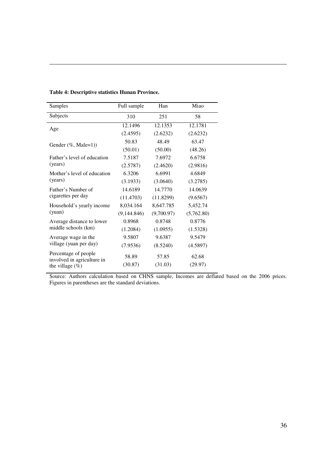-

| Samples                                                                  | Full sample      | Han              | Miao             |
|--------------------------------------------------------------------------|------------------|------------------|------------------|
| Subjects                                                                 | 310              | 251              | 58               |
| Age                                                                      | 12.1496          | 12.1353          | 12.1781          |
|                                                                          | (2.4595)         | (2.6232)         | (2.6232)         |
| Gender $(\%$ , Male=1))                                                  | 50.83            | 48.49            | 63.47            |
|                                                                          | (50.01)          | (50.00)          | (48.26)          |
| Father's level of education                                              | 7.5187           | 7.6972           | 6.6758           |
| (years)                                                                  | (2.5787)         | (2.4620)         | (2.9816)         |
| Mother's level of education                                              | 6.3206           | 6.6991           | 4.6849           |
| (years)                                                                  | (3.1933)         | (3.0640)         | (3.2785)         |
| Father's Number of                                                       | 14.6189          | 14.7770          | 14.0639          |
| cigarettes per day                                                       | (11.4703)        | (11.8299)        | (9.6567)         |
| Household's yearly income                                                | 8,034.164        | 8,647.785        | 5,452.74         |
| (vuan)                                                                   | (9,144.846)      | (9,700.97)       | (5,762.80)       |
| Average distance to lower                                                | 0.8968           | 0.8748           | 0.8776           |
| middle schools (km)                                                      | (1.2084)         | (1.0955)         | (1.5328)         |
| Average wage in the                                                      | 9.5807           | 9.6387           | 9.5479           |
| village (yuan per day)                                                   | (7.9536)         | (8.5240)         | (4.5897)         |
| Percentage of people<br>involved in agriculture in<br>the village $(\%)$ | 58.89<br>(30.87) | 57.85<br>(31.03) | 62.68<br>(29.97) |
|                                                                          |                  |                  |                  |

Source: Authors calculation based on CHNS sample, Incomes are deflated based on the 2006 prices. Figures in parentheses are the standard deviations.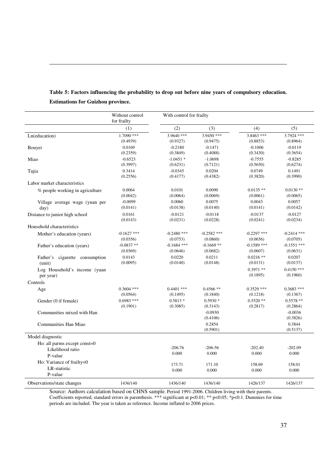|                                           | Without control<br>for frailty | With control for frailty |                       |                        |                          |
|-------------------------------------------|--------------------------------|--------------------------|-----------------------|------------------------|--------------------------|
|                                           | (1)                            | (2)                      | (3)                   | (4)                    | (5)                      |
| Ln(education)                             | $1.7090$ ***                   | $3.9640$ ***             | $3.9450$ ***          | 3.8463 ***             | 3.7924 ***               |
|                                           | (0.4939)                       | (0.9327)                 | (0.9475)              | (0.8853)               | (0.8964)                 |
| Bouyei                                    | 0.0169                         | $-0.2180$                | $-0.1471$             | $-0.1006$              | $-0.0119$                |
|                                           | (0.2359)                       | (0.3849)                 | (0.4088)              | (0.3430)               | (0.3654)                 |
| Miao                                      | $-0.6523$                      | $-1.0451*$               | $-1.0698$             | $-0.7555$              | $-0.8285$                |
|                                           | (0.3997)                       | (0.6231)                 | (0.7121)              | (0.5650)               | (0.6274)                 |
| Tujia                                     | 0.3414                         | $-0.0345$                | 0.0204                | 0.0749                 | 0.1491                   |
|                                           | (0.2556)                       | (0.4177)                 | (0.4382)              | (0.3820)               | (0.3990)                 |
| Labor market characteristics              |                                |                          |                       |                        |                          |
| % people working in agriculture           | 0.0064                         | 0.0101                   | 0.0090                | $0.0135**$             | $0.0130**$               |
|                                           | (0.0042)                       | (0.0064)                 | (0.0069)              | (0.0061)               | (0.0065)                 |
| Village average wage (yuan per            | $-0.0099$                      | 0.0060                   | 0.0075                | 0.0043                 | 0.0057                   |
| day)                                      | (0.0141)                       | (0.0138)                 | (0.0140)              | (0.0141)               | (0.0142)                 |
| Distance to junior high school            | 0.0161                         | $-0.0121$                | $-0.0118$             | $-0.0137$              | $-0.0127$                |
|                                           | (0.0143)                       | (0.0231)                 | (0.0228)              | (0.0241)               | (0.0234)                 |
| Household characteristics                 |                                |                          |                       |                        |                          |
| Mother's education (years)                | $-0.1627$ ***                  | $-0.2480$ ***            | $-0.2582$ ***         | $-0.2297$ ***          | $-0.2414$ ***            |
|                                           | (0.0356)                       | (0.0753)                 | (0.0860)              | (0.0656)               | (0.0705)                 |
| Father's education (years)                | $-0.0837**$                    | $-0.1684$ ***            | $-0.1669$ **          | $-0.1589$ ***          | $-0.1551$ ***            |
|                                           | (0.0369)                       | (0.0646)                 | (0.0682)              | (0.0607)               | (0.0631)                 |
| Father's cigarette consumption            | 0.0143                         | 0.0220                   | 0.0211                | $0.0216$ **            | 0.0207                   |
| (unit)                                    | (0.0095)                       | (0.0140)                 | (0.0148)              | (0.0131)               | (0.0137)                 |
| Log Household's income (yuan<br>per year) |                                |                          |                       | $0.3971**$<br>(0.1895) | $0.4150$ ***<br>(0.1960) |
| Controls                                  |                                |                          |                       |                        |                          |
| Age                                       | $0.3604$ ***                   | $0.4401$ ***             | $0.4566**$            | $0.3529$ ***           | $0.3683$ ***             |
|                                           | (0.0564)                       | (0.1495)                 | (0.1840)              | (0.1218)               | (0.1367)                 |
| Gender (0 if female)                      | $0.6983$ ***                   | $0.5813*$                | $0.5930*$             | $0.5520**$             | $0.5578**$               |
|                                           | (0.1901)                       | (0.3085)                 | (0.3143)              | (0.2817)               | (0.2864)                 |
| Communities mixed with Han                |                                |                          | $-0.0930$<br>(0.4106) |                        | $-0.0036$<br>(0.3826)    |
| Communities Han Miao                      |                                |                          | 0.2854<br>(0.5901)    |                        | 0.3844<br>(0.5137)       |
| Model diagnostic                          |                                |                          |                       |                        |                          |
| Ho: all parms except const=0              |                                | $-206.76$                | $-206-56$             | $-202.40$              | $-202.09$                |
| Likelihood ratio                          |                                | 0.000                    | 0.000                 | 0.000                  | 0.000                    |
| P-value<br>Ho: Variance of frailty=0      |                                | 173.71                   | 171.10                | 158.69                 | 158.01                   |
| LR-statistic<br>P-value                   |                                | 0.000                    | 0.000                 | 0.000                  | 0.000                    |
| Observations/state changes                | 1436/140                       | 1436/140                 | 1436/140              | 1426/137               | 1426/137                 |

# **Table 5: Factors influencing the probability to drop out before nine years of compulsory education. Estimations for Guizhou province.**

-

Source: Authors calculation based on CHNS sample. Period 1991-2006. Children living with their parents. Coefficients reported, standard errors in parenthesis. \*\*\* significant at p<0.01; \*\* p<0.05; \*p<0.1. Dummies for time periods are included. The year is taken as reference. Income inflated to 2006 prices.